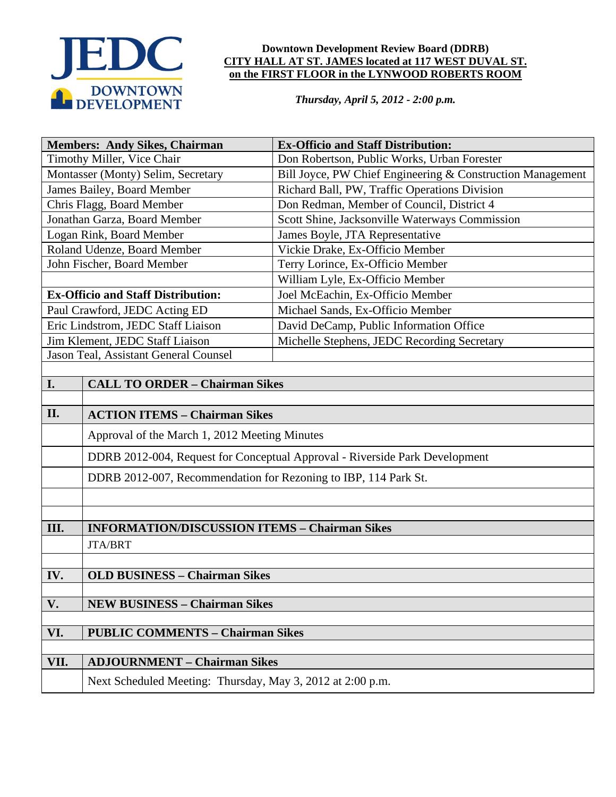

#### **Downtown Development Review Board (DDRB) CITY HALL AT ST. JAMES located at 117 WEST DUVAL ST. on the FIRST FLOOR in the LYNWOOD ROBERTS ROOM**

*Thursday, April 5, 2012 - 2:00 p.m.*

| <b>Members: Andy Sikes, Chairman</b>           |                                                                             | <b>Ex-Officio and Staff Distribution:</b>                  |
|------------------------------------------------|-----------------------------------------------------------------------------|------------------------------------------------------------|
| Timothy Miller, Vice Chair                     |                                                                             | Don Robertson, Public Works, Urban Forester                |
| Montasser (Monty) Selim, Secretary             |                                                                             | Bill Joyce, PW Chief Engineering & Construction Management |
| James Bailey, Board Member                     |                                                                             | Richard Ball, PW, Traffic Operations Division              |
| Chris Flagg, Board Member                      |                                                                             | Don Redman, Member of Council, District 4                  |
| Jonathan Garza, Board Member                   |                                                                             | Scott Shine, Jacksonville Waterways Commission             |
| Logan Rink, Board Member                       |                                                                             | James Boyle, JTA Representative                            |
| Roland Udenze, Board Member                    |                                                                             | Vickie Drake, Ex-Officio Member                            |
| John Fischer, Board Member                     |                                                                             | Terry Lorince, Ex-Officio Member                           |
|                                                |                                                                             | William Lyle, Ex-Officio Member                            |
| <b>Ex-Officio and Staff Distribution:</b>      |                                                                             | Joel McEachin, Ex-Officio Member                           |
| Paul Crawford, JEDC Acting ED                  |                                                                             | Michael Sands, Ex-Officio Member                           |
| Eric Lindstrom, JEDC Staff Liaison             |                                                                             | David DeCamp, Public Information Office                    |
| Jim Klement, JEDC Staff Liaison                |                                                                             | Michelle Stephens, JEDC Recording Secretary                |
| Jason Teal, Assistant General Counsel          |                                                                             |                                                            |
| <b>I.</b>                                      | <b>CALL TO ORDER - Chairman Sikes</b>                                       |                                                            |
|                                                |                                                                             |                                                            |
| II.                                            | <b>ACTION ITEMS - Chairman Sikes</b>                                        |                                                            |
|                                                | Approval of the March 1, 2012 Meeting Minutes                               |                                                            |
|                                                | DDRB 2012-004, Request for Conceptual Approval - Riverside Park Development |                                                            |
|                                                | DDRB 2012-007, Recommendation for Rezoning to IBP, 114 Park St.             |                                                            |
|                                                |                                                                             |                                                            |
|                                                |                                                                             |                                                            |
| III.                                           | <b>INFORMATION/DISCUSSION ITEMS - Chairman Sikes</b>                        |                                                            |
|                                                | <b>JTA/BRT</b>                                                              |                                                            |
|                                                | <b>OLD BUSINESS - Chairman Sikes</b>                                        |                                                            |
| IV.                                            |                                                                             |                                                            |
| V.                                             | <b>NEW BUSINESS - Chairman Sikes</b>                                        |                                                            |
|                                                |                                                                             |                                                            |
| VI.<br><b>PUBLIC COMMENTS - Chairman Sikes</b> |                                                                             |                                                            |
|                                                |                                                                             |                                                            |
| VII.                                           | <b>ADJOURNMENT - Chairman Sikes</b>                                         |                                                            |
|                                                | Next Scheduled Meeting: Thursday, May 3, 2012 at 2:00 p.m.                  |                                                            |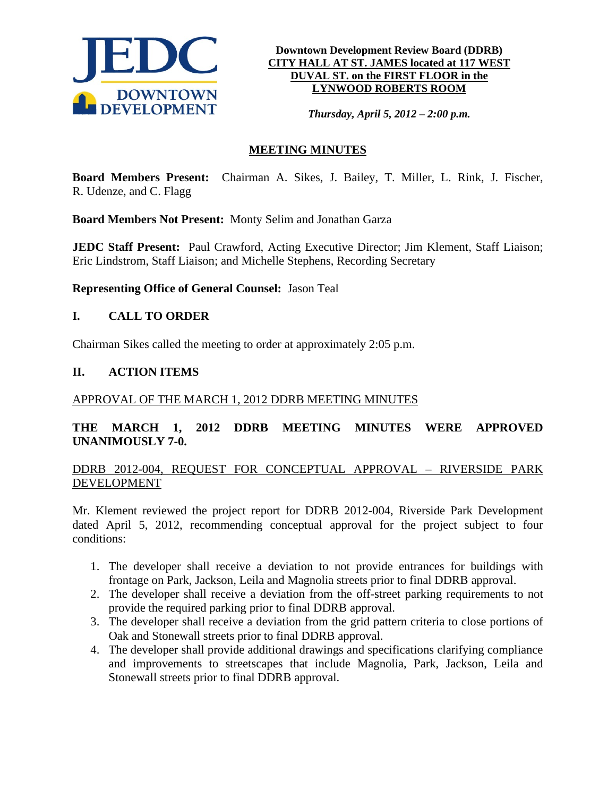

**Downtown Development Review Board (DDRB) CITY HALL AT ST. JAMES located at 117 WEST DUVAL ST. on the FIRST FLOOR in the LYNWOOD ROBERTS ROOM**

*Thursday, April 5, 2012 – 2:00 p.m.*

# **MEETING MINUTES**

**Board Members Present:** Chairman A. Sikes, J. Bailey, T. Miller, L. Rink, J. Fischer, R. Udenze, and C. Flagg

**Board Members Not Present:** Monty Selim and Jonathan Garza

**JEDC Staff Present:** Paul Crawford, Acting Executive Director; Jim Klement, Staff Liaison; Eric Lindstrom, Staff Liaison; and Michelle Stephens, Recording Secretary

**Representing Office of General Counsel:** Jason Teal

## **I. CALL TO ORDER**

Chairman Sikes called the meeting to order at approximately 2:05 p.m.

#### **II. ACTION ITEMS**

#### APPROVAL OF THE MARCH 1, 2012 DDRB MEETING MINUTES

## **THE MARCH 1, 2012 DDRB MEETING MINUTES WERE APPROVED UNANIMOUSLY 7-0.**

## DDRB 2012-004, REQUEST FOR CONCEPTUAL APPROVAL – RIVERSIDE PARK DEVELOPMENT

Mr. Klement reviewed the project report for DDRB 2012-004, Riverside Park Development dated April 5, 2012, recommending conceptual approval for the project subject to four conditions:

- 1. The developer shall receive a deviation to not provide entrances for buildings with frontage on Park, Jackson, Leila and Magnolia streets prior to final DDRB approval.
- 2. The developer shall receive a deviation from the off-street parking requirements to not provide the required parking prior to final DDRB approval.
- 3. The developer shall receive a deviation from the grid pattern criteria to close portions of Oak and Stonewall streets prior to final DDRB approval.
- 4. The developer shall provide additional drawings and specifications clarifying compliance and improvements to streetscapes that include Magnolia, Park, Jackson, Leila and Stonewall streets prior to final DDRB approval.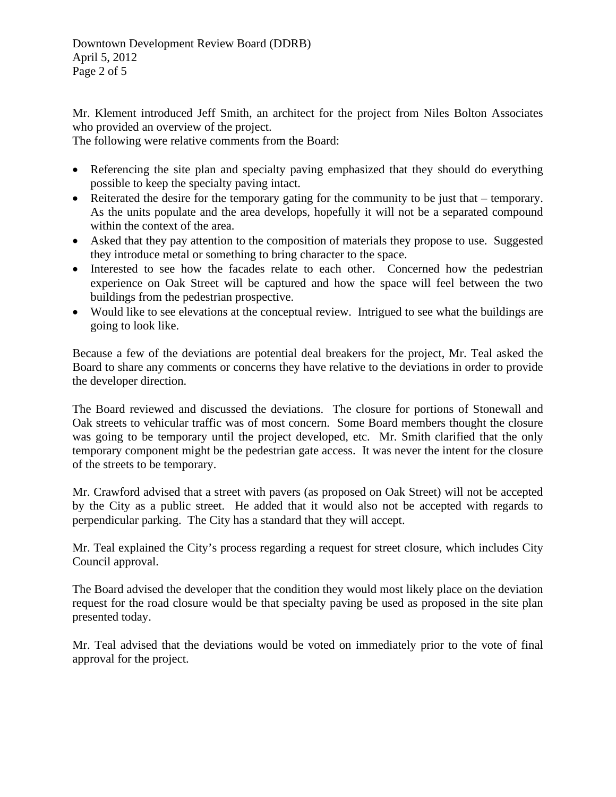Mr. Klement introduced Jeff Smith, an architect for the project from Niles Bolton Associates who provided an overview of the project.

The following were relative comments from the Board:

- Referencing the site plan and specialty paving emphasized that they should do everything possible to keep the specialty paving intact.
- Reiterated the desire for the temporary gating for the community to be just that temporary. As the units populate and the area develops, hopefully it will not be a separated compound within the context of the area.
- Asked that they pay attention to the composition of materials they propose to use. Suggested they introduce metal or something to bring character to the space.
- Interested to see how the facades relate to each other. Concerned how the pedestrian experience on Oak Street will be captured and how the space will feel between the two buildings from the pedestrian prospective.
- Would like to see elevations at the conceptual review. Intrigued to see what the buildings are going to look like.

Because a few of the deviations are potential deal breakers for the project, Mr. Teal asked the Board to share any comments or concerns they have relative to the deviations in order to provide the developer direction.

The Board reviewed and discussed the deviations. The closure for portions of Stonewall and Oak streets to vehicular traffic was of most concern. Some Board members thought the closure was going to be temporary until the project developed, etc. Mr. Smith clarified that the only temporary component might be the pedestrian gate access. It was never the intent for the closure of the streets to be temporary.

Mr. Crawford advised that a street with pavers (as proposed on Oak Street) will not be accepted by the City as a public street. He added that it would also not be accepted with regards to perpendicular parking. The City has a standard that they will accept.

Mr. Teal explained the City's process regarding a request for street closure, which includes City Council approval.

The Board advised the developer that the condition they would most likely place on the deviation request for the road closure would be that specialty paving be used as proposed in the site plan presented today.

Mr. Teal advised that the deviations would be voted on immediately prior to the vote of final approval for the project.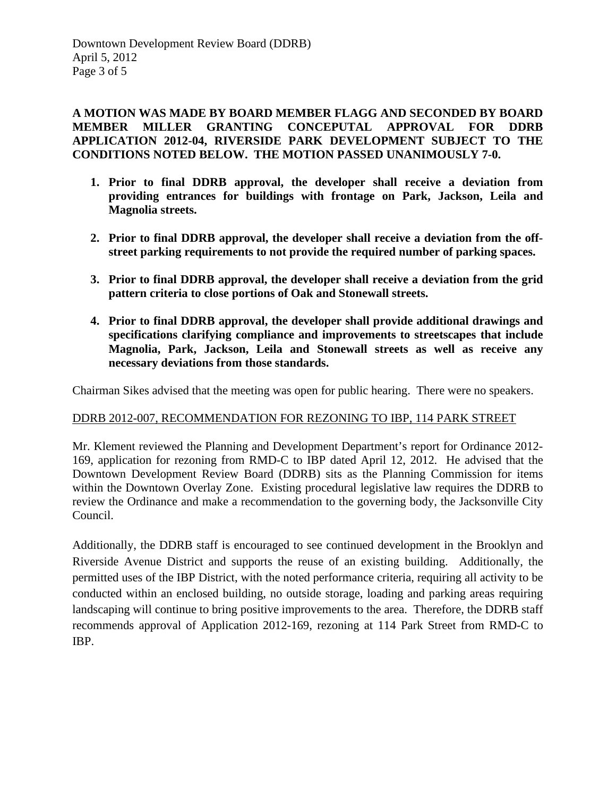**A MOTION WAS MADE BY BOARD MEMBER FLAGG AND SECONDED BY BOARD MEMBER MILLER GRANTING CONCEPUTAL APPROVAL FOR DDRB APPLICATION 2012-04, RIVERSIDE PARK DEVELOPMENT SUBJECT TO THE CONDITIONS NOTED BELOW. THE MOTION PASSED UNANIMOUSLY 7-0.** 

- **1. Prior to final DDRB approval, the developer shall receive a deviation from providing entrances for buildings with frontage on Park, Jackson, Leila and Magnolia streets.**
- **2. Prior to final DDRB approval, the developer shall receive a deviation from the offstreet parking requirements to not provide the required number of parking spaces.**
- **3. Prior to final DDRB approval, the developer shall receive a deviation from the grid pattern criteria to close portions of Oak and Stonewall streets.**
- **4. Prior to final DDRB approval, the developer shall provide additional drawings and specifications clarifying compliance and improvements to streetscapes that include Magnolia, Park, Jackson, Leila and Stonewall streets as well as receive any necessary deviations from those standards.**

Chairman Sikes advised that the meeting was open for public hearing. There were no speakers.

## DDRB 2012-007, RECOMMENDATION FOR REZONING TO IBP, 114 PARK STREET

Mr. Klement reviewed the Planning and Development Department's report for Ordinance 2012- 169, application for rezoning from RMD-C to IBP dated April 12, 2012. He advised that the Downtown Development Review Board (DDRB) sits as the Planning Commission for items within the Downtown Overlay Zone. Existing procedural legislative law requires the DDRB to review the Ordinance and make a recommendation to the governing body, the Jacksonville City Council.

Additionally, the DDRB staff is encouraged to see continued development in the Brooklyn and Riverside Avenue District and supports the reuse of an existing building. Additionally, the permitted uses of the IBP District, with the noted performance criteria, requiring all activity to be conducted within an enclosed building, no outside storage, loading and parking areas requiring landscaping will continue to bring positive improvements to the area. Therefore, the DDRB staff recommends approval of Application 2012-169, rezoning at 114 Park Street from RMD-C to IBP.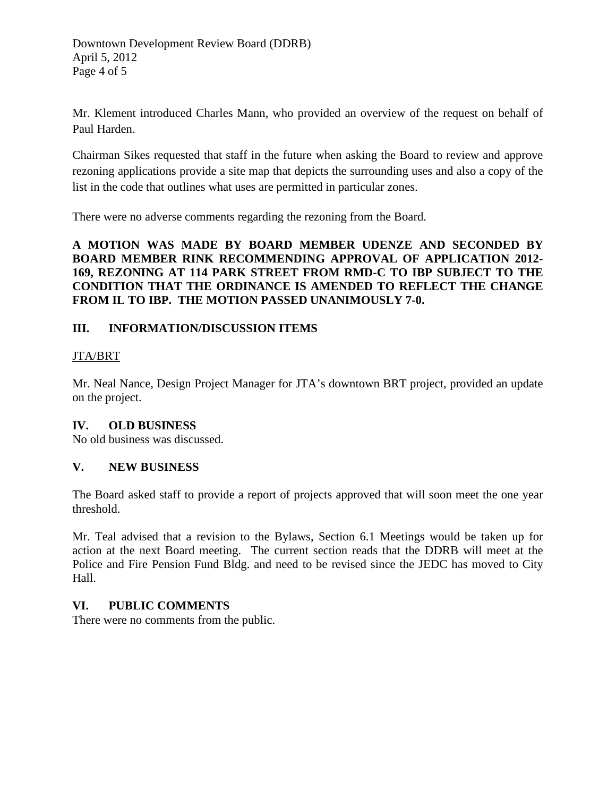Mr. Klement introduced Charles Mann, who provided an overview of the request on behalf of Paul Harden.

Chairman Sikes requested that staff in the future when asking the Board to review and approve rezoning applications provide a site map that depicts the surrounding uses and also a copy of the list in the code that outlines what uses are permitted in particular zones.

There were no adverse comments regarding the rezoning from the Board.

**A MOTION WAS MADE BY BOARD MEMBER UDENZE AND SECONDED BY BOARD MEMBER RINK RECOMMENDING APPROVAL OF APPLICATION 2012- 169, REZONING AT 114 PARK STREET FROM RMD-C TO IBP SUBJECT TO THE CONDITION THAT THE ORDINANCE IS AMENDED TO REFLECT THE CHANGE FROM IL TO IBP. THE MOTION PASSED UNANIMOUSLY 7-0.** 

# **III. INFORMATION/DISCUSSION ITEMS**

## JTA/BRT

Mr. Neal Nance, Design Project Manager for JTA's downtown BRT project, provided an update on the project.

## **IV. OLD BUSINESS**

No old business was discussed.

## **V. NEW BUSINESS**

The Board asked staff to provide a report of projects approved that will soon meet the one year threshold.

Mr. Teal advised that a revision to the Bylaws, Section 6.1 Meetings would be taken up for action at the next Board meeting. The current section reads that the DDRB will meet at the Police and Fire Pension Fund Bldg. and need to be revised since the JEDC has moved to City Hall.

## **VI. PUBLIC COMMENTS**

There were no comments from the public.